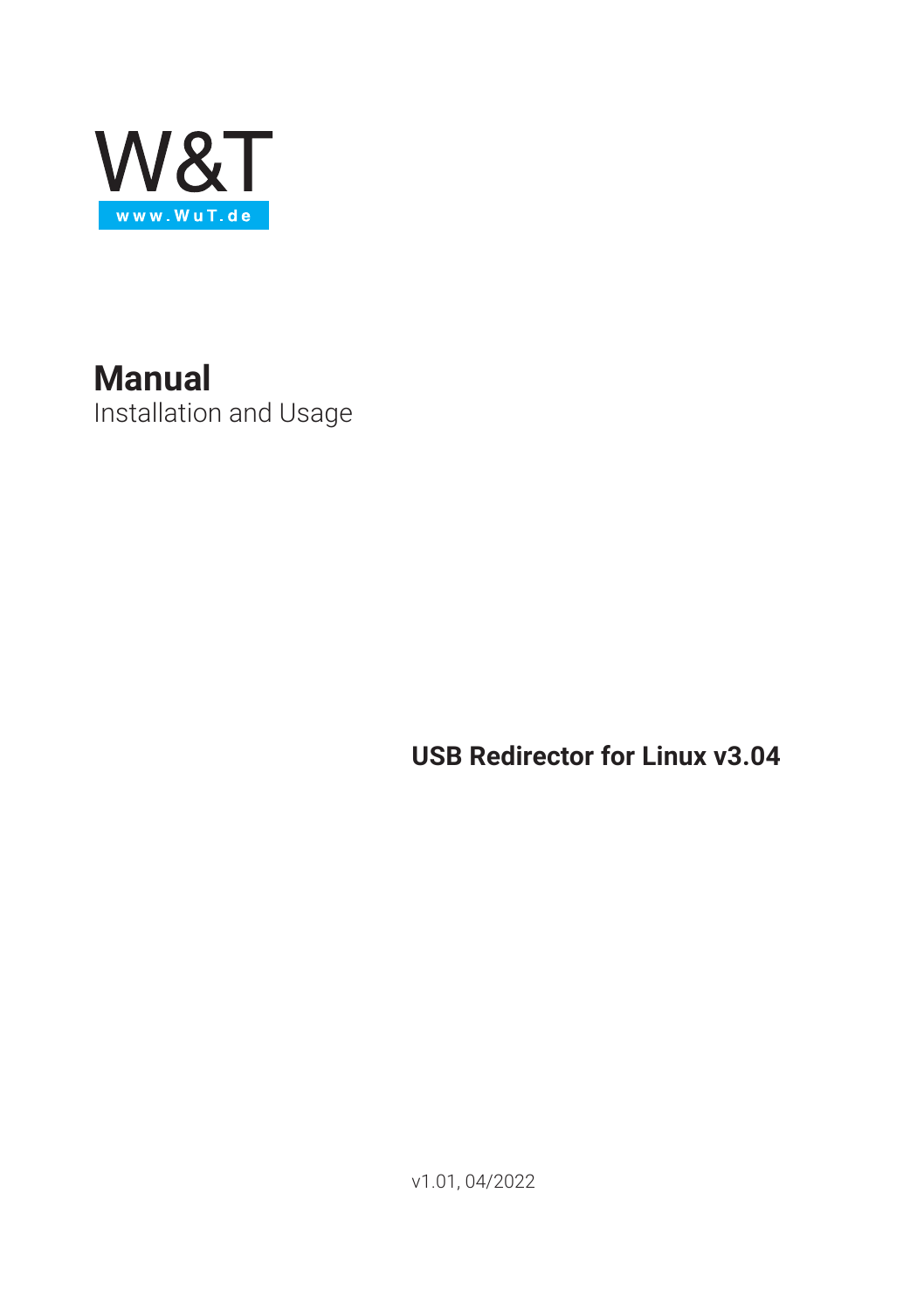

**Manual** Installation and Usage

**USB Redirector for Linux v3.04**

v1.01, 04/2022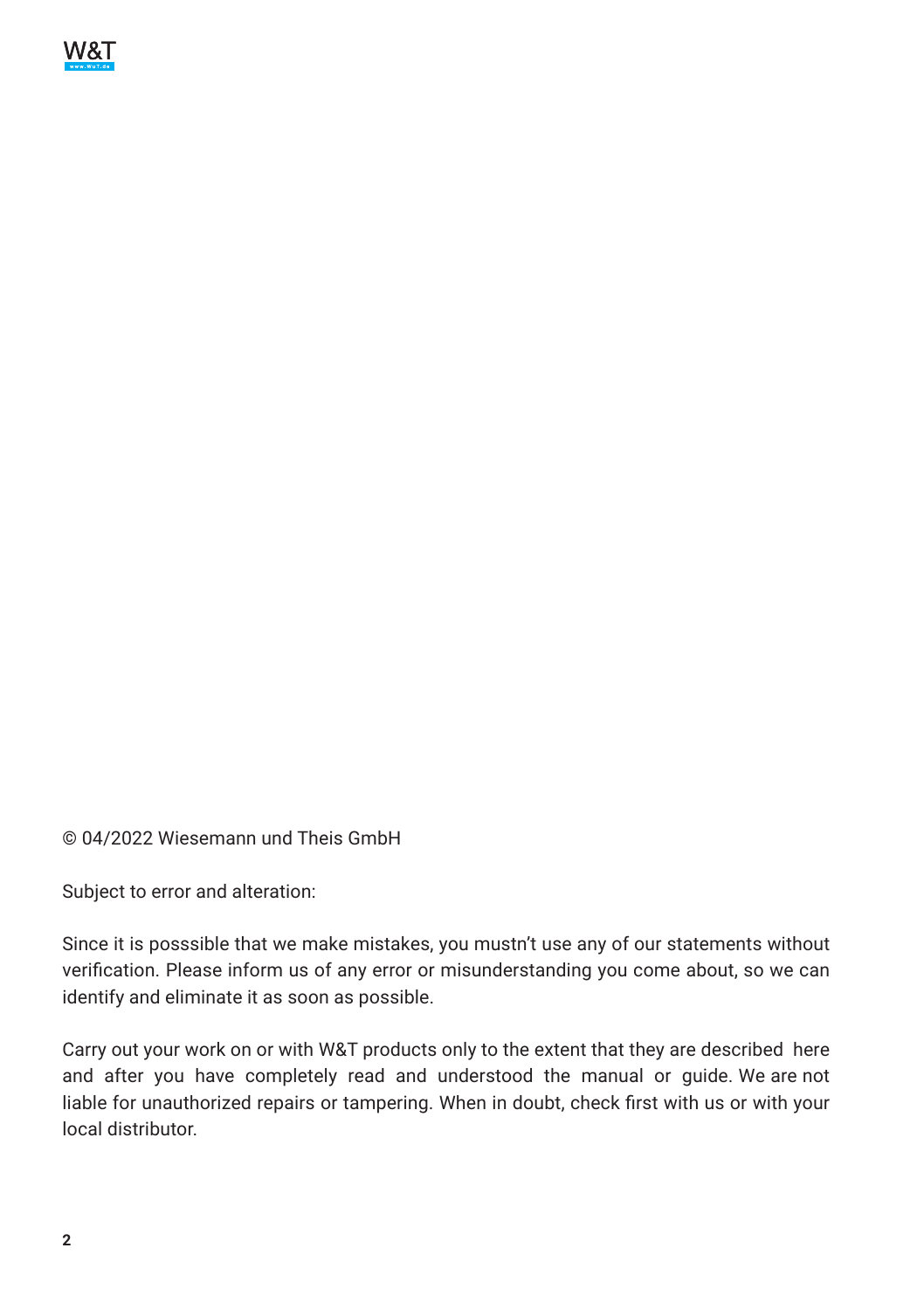

© 04/2022 Wiesemann und Theis GmbH

Subject to error and alteration:

Since it is posssible that we make mistakes, you mustn't use any of our statements without verification. Please inform us of any error or misunderstanding you come about, so we can identify and eliminate it as soon as possible.

Carry out your work on or with W&T products only to the extent that they are described here and after you have completely read and understood the manual or guide. We are not liable for unauthorized repairs or tampering. When in doubt, check first with us or with your local distributor.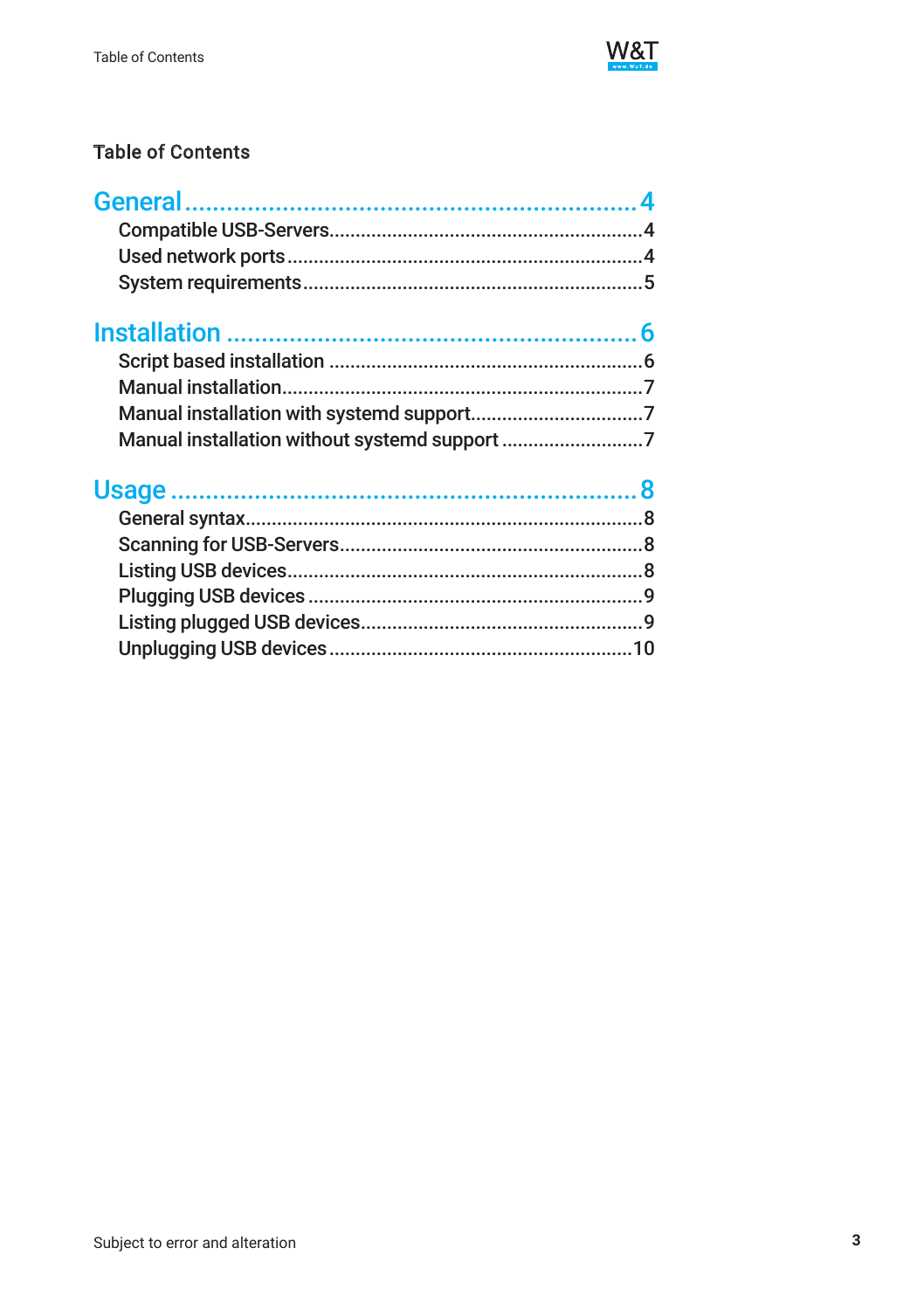

### **Table of Contents**

| Manual installation without systemd support 7 |  |
|-----------------------------------------------|--|
|                                               |  |
|                                               |  |
|                                               |  |
|                                               |  |
|                                               |  |
|                                               |  |
|                                               |  |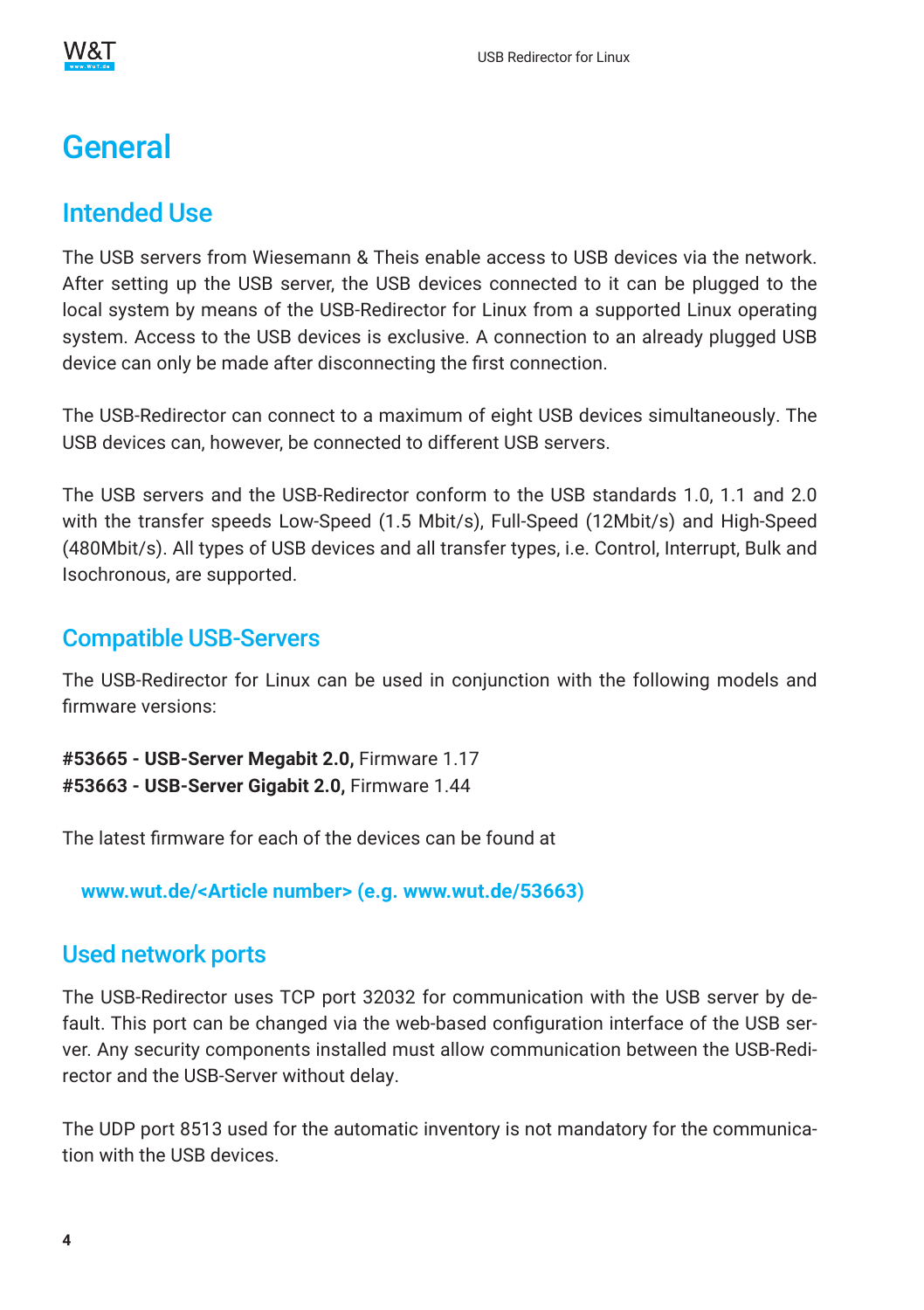# <span id="page-3-0"></span>General

# Intended Use

The USB servers from Wiesemann & Theis enable access to USB devices via the network. After setting up the USB server, the USB devices connected to it can be plugged to the local system by means of the USB-Redirector for Linux from a supported Linux operating system. Access to the USB devices is exclusive. A connection to an already plugged USB device can only be made after disconnecting the first connection.

The USB-Redirector can connect to a maximum of eight USB devices simultaneously. The USB devices can, however, be connected to different USB servers.

The USB servers and the USB-Redirector conform to the USB standards 1.0, 1.1 and 2.0 with the transfer speeds Low-Speed (1.5 Mbit/s), Full-Speed (12Mbit/s) and High-Speed (480Mbit/s). All types of USB devices and all transfer types, i.e. Control, Interrupt, Bulk and Isochronous, are supported.

# Compatible USB-Servers

The USB-Redirector for Linux can be used in conjunction with the following models and firmware versions:

**#53665 - USB-Server Megabit 2.0,** Firmware 1.17 **#53663 - USB-Server Gigabit 2.0,** Firmware 1.44

The latest firmware for each of the devices can be found at

**www.wut.de/<Article number> (e.g. www.wut.de/53663)**

# Used network ports

The USB-Redirector uses TCP port 32032 for communication with the USB server by default. This port can be changed via the web-based configuration interface of the USB server. Any security components installed must allow communication between the USB-Redirector and the USB-Server without delay.

The UDP port 8513 used for the automatic inventory is not mandatory for the communication with the USB devices.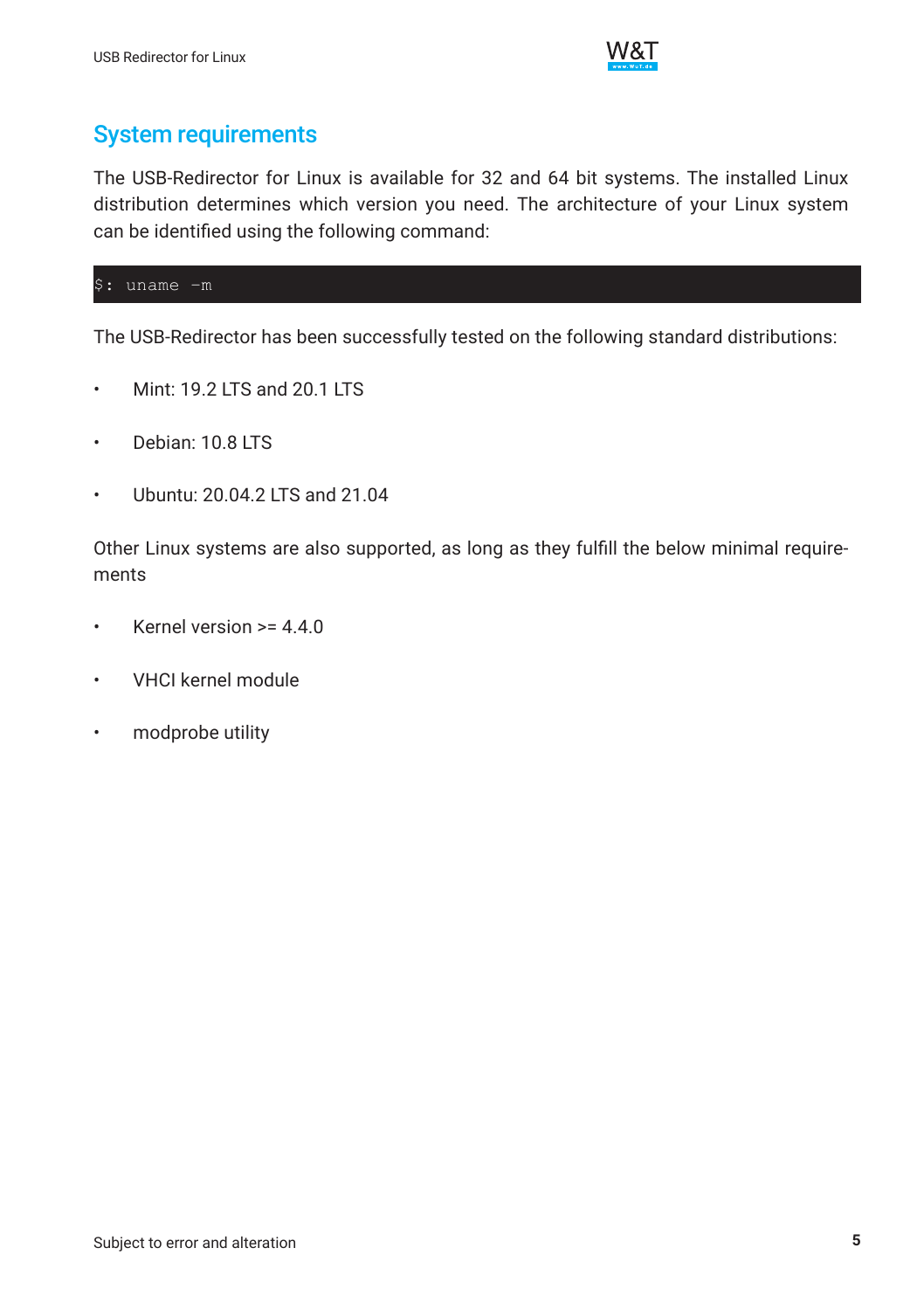

## <span id="page-4-0"></span>System requirements

The USB-Redirector for Linux is available for 32 and 64 bit systems. The installed Linux distribution determines which version you need. The architecture of your Linux system can be identified using the following command:

#### \$: uname –m

The USB-Redirector has been successfully tested on the following standard distributions:

- Mint: 19.2 LTS and 20.1 LTS
- Debian: 10.8 LTS
- Ubuntu: 20.04.2 LTS and 21.04

Other Linux systems are also supported, as long as they fulfill the below minimal requirements

- Kernel version  $\geq 4.4.0$
- VHCI kernel module
- modprobe utility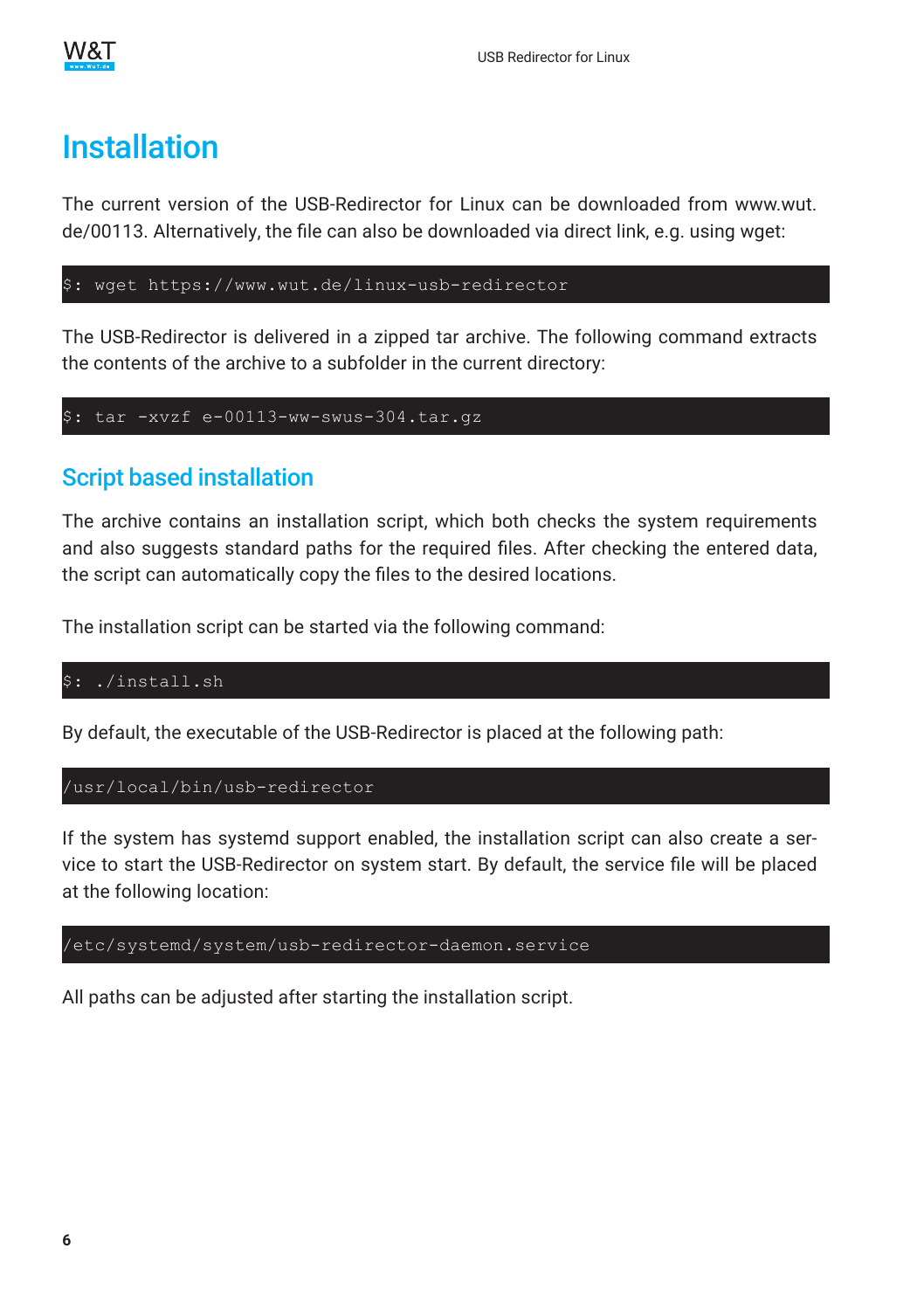<span id="page-5-0"></span>

# **Installation**

The current version of the USB-Redirector for Linux can be downloaded from www.wut. de/00113. Alternatively, the file can also be downloaded via direct link, e.g. using wget:

\$: wget https://www.wut.de/linux-usb-redirector

The USB-Redirector is delivered in a zipped tar archive. The following command extracts the contents of the archive to a subfolder in the current directory:

\$: tar -xvzf e-00113-ww-swus-304.tar.gz

# Script based installation

The archive contains an installation script, which both checks the system requirements and also suggests standard paths for the required files. After checking the entered data, the script can automatically copy the files to the desired locations.

The installation script can be started via the following command:

#### \$: ./install.sh

By default, the executable of the USB-Redirector is placed at the following path:

/usr/local/bin/usb-redirector

If the system has systemd support enabled, the installation script can also create a service to start the USB-Redirector on system start. By default, the service file will be placed at the following location:

/etc/systemd/system/usb-redirector-daemon.service

All paths can be adjusted after starting the installation script.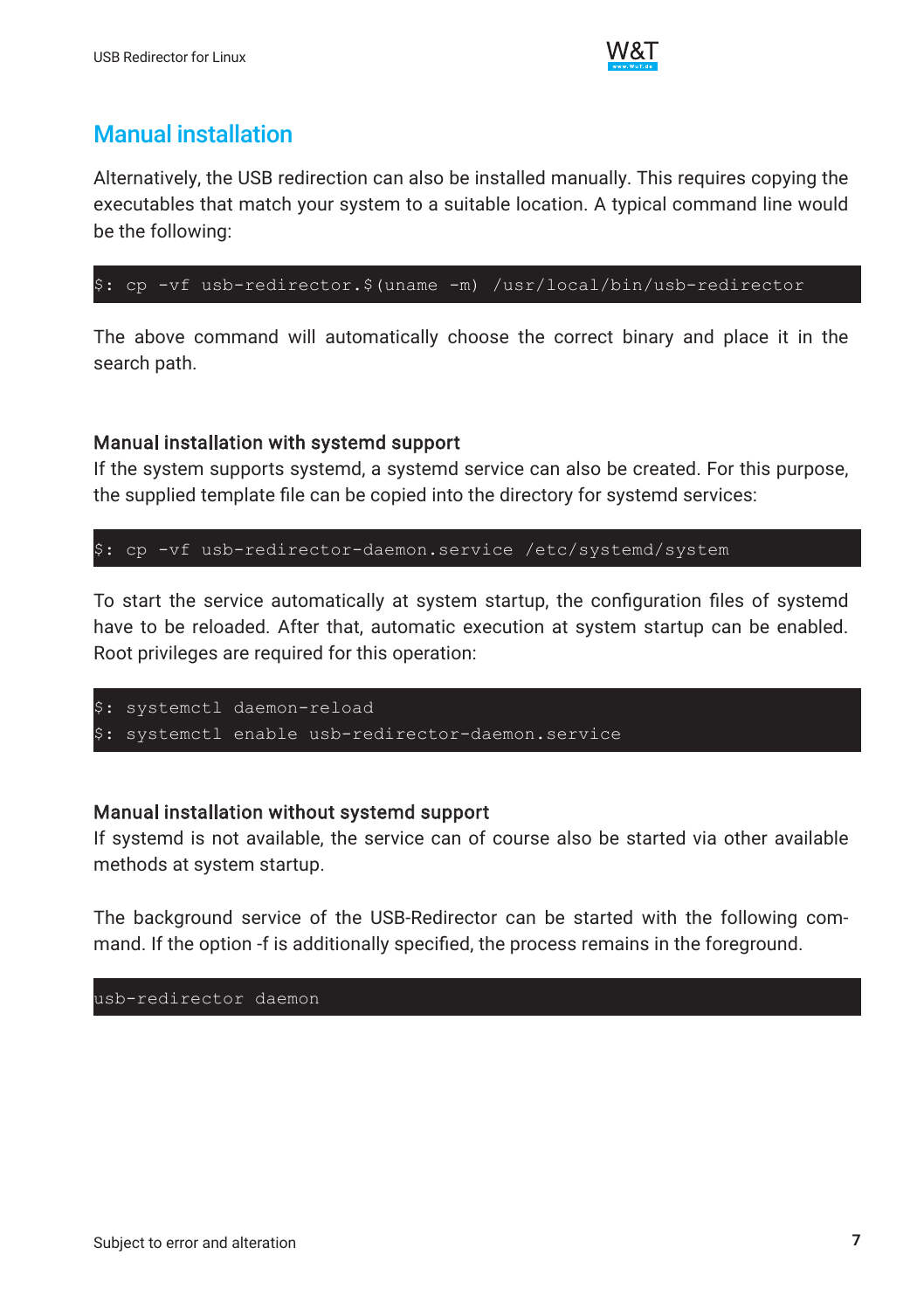

## <span id="page-6-0"></span>Manual installation

Alternatively, the USB redirection can also be installed manually. This requires copying the executables that match your system to a suitable location. A typical command line would be the following:

\$: cp -vf usb-redirector.\$(uname -m) /usr/local/bin/usb-redirector

The above command will automatically choose the correct binary and place it in the search path.

#### Manual installation with systemd support

If the system supports systemd, a systemd service can also be created. For this purpose, the supplied template file can be copied into the directory for systemd services:

\$: cp -vf usb-redirector-daemon.service /etc/systemd/system

To start the service automatically at system startup, the configuration files of systemd have to be reloaded. After that, automatic execution at system startup can be enabled. Root privileges are required for this operation:

```
$: systemctl daemon-reload
$: systemctl enable usb-redirector-daemon.service
```
#### Manual installation without systemd support

If systemd is not available, the service can of course also be started via other available methods at system startup.

The background service of the USB-Redirector can be started with the following command. If the option -f is additionally specified, the process remains in the foreground.

```
usb-redirector daemon
```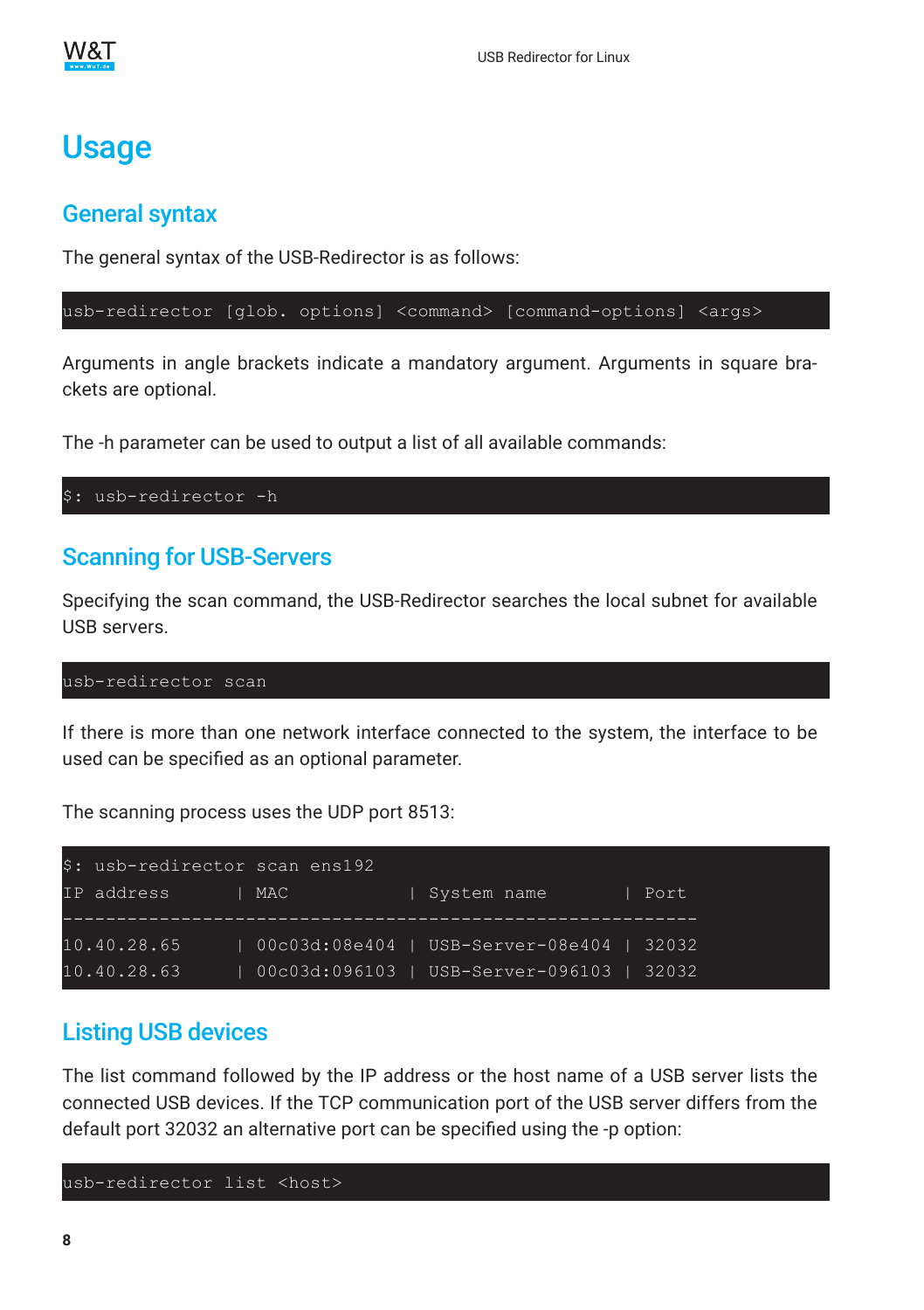<span id="page-7-0"></span>

# **Usage**

### General syntax

The general syntax of the USB-Redirector is as follows:

usb-redirector [glob. options] <command> [command-options] <args>

Arguments in angle brackets indicate a mandatory argument. Arguments in square brackets are optional.

The -h parameter can be used to output a list of all available commands:

\$: usb-redirector -h

### Scanning for USB-Servers

Specifying the scan command, the USB-Redirector searches the local subnet for available USB servers.

#### usb-redirector scan

If there is more than one network interface connected to the system, the interface to be used can be specified as an optional parameter.

The scanning process uses the UDP port 8513:

| \$: usb-redirector scan ens192 |     |                                           |      |
|--------------------------------|-----|-------------------------------------------|------|
| IP address                     | MAC | System name                               | Port |
|                                |     |                                           |      |
| 10.40.28.65                    |     | 00c03d:08e404   USB-Server-08e404   32032 |      |
| 10.40.28.63                    |     | 00c03d:096103   USB-Server-096103   32032 |      |
|                                |     |                                           |      |

## Listing USB devices

The list command followed by the IP address or the host name of a USB server lists the connected USB devices. If the TCP communication port of the USB server differs from the default port 32032 an alternative port can be specified using the -p option:

usb-redirector list <host>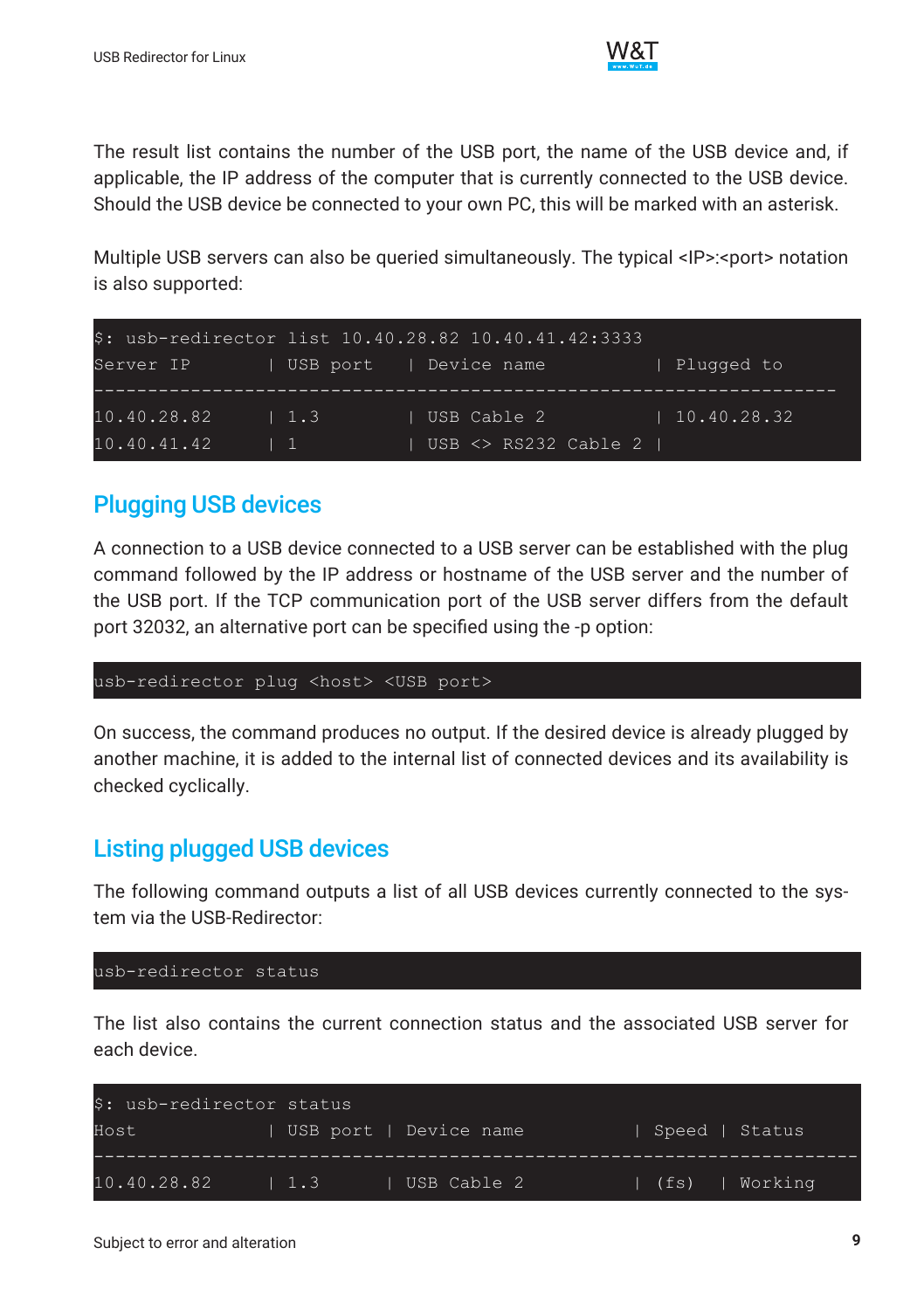

<span id="page-8-0"></span>The result list contains the number of the USB port, the name of the USB device and, if applicable, the IP address of the computer that is currently connected to the USB device. Should the USB device be connected to your own PC, this will be marked with an asterisk.

Multiple USB servers can also be queried simultaneously. The typical <IP>:<port> notation is also supported:

| Server IP<br>USB port   Device name<br>  Plugged to       |  |
|-----------------------------------------------------------|--|
|                                                           |  |
| 10.40.28.82<br>10.40.28.32<br>l USB Cable 2<br>$\Box$ 1.3 |  |
| 10.40.41.42<br>USB $\langle$ > RS232 Cable 2              |  |

# Plugging USB devices

A connection to a USB device connected to a USB server can be established with the plug command followed by the IP address or hostname of the USB server and the number of the USB port. If the TCP communication port of the USB server differs from the default port 32032, an alternative port can be specified using the -p option:

```
usb-redirector plug <host> <USB port>
```
On success, the command produces no output. If the desired device is already plugged by another machine, it is added to the internal list of connected devices and its availability is checked cyclically.

## Listing plugged USB devices

The following command outputs a list of all USB devices currently connected to the system via the USB-Redirector:

#### usb-redirector status

The list also contains the current connection status and the associated USB server for each device.

| \$: usb-redirector status |                        |  |                |
|---------------------------|------------------------|--|----------------|
| Host                      | USB port   Device name |  | Speed   Status |
|                           |                        |  |                |
| 10.40.28.82               | USB Cable 2<br>1.3     |  | (fs)   Working |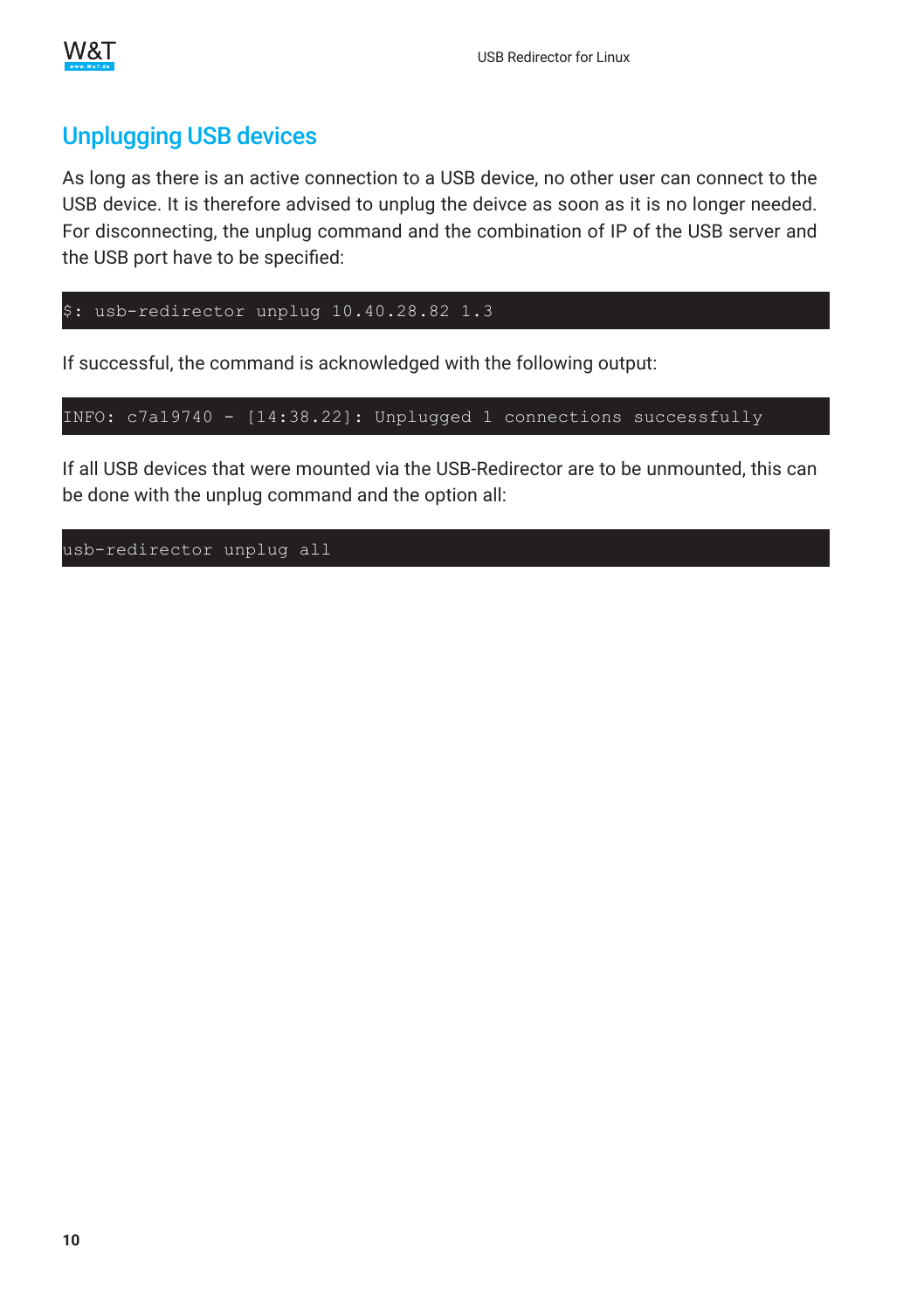<span id="page-9-0"></span>

# Unplugging USB devices

As long as there is an active connection to a USB device, no other user can connect to the USB device. It is therefore advised to unplug the deivce as soon as it is no longer needed. For disconnecting, the unplug command and the combination of IP of the USB server and the USB port have to be specified:

\$: usb-redirector unplug 10.40.28.82 1.3

If successful, the command is acknowledged with the following output:

```
INFO: c7a19740 - [14:38.22]: Unplugged 1 connections successfully
```
If all USB devices that were mounted via the USB-Redirector are to be unmounted, this can be done with the unplug command and the option all:

usb-redirector unplug all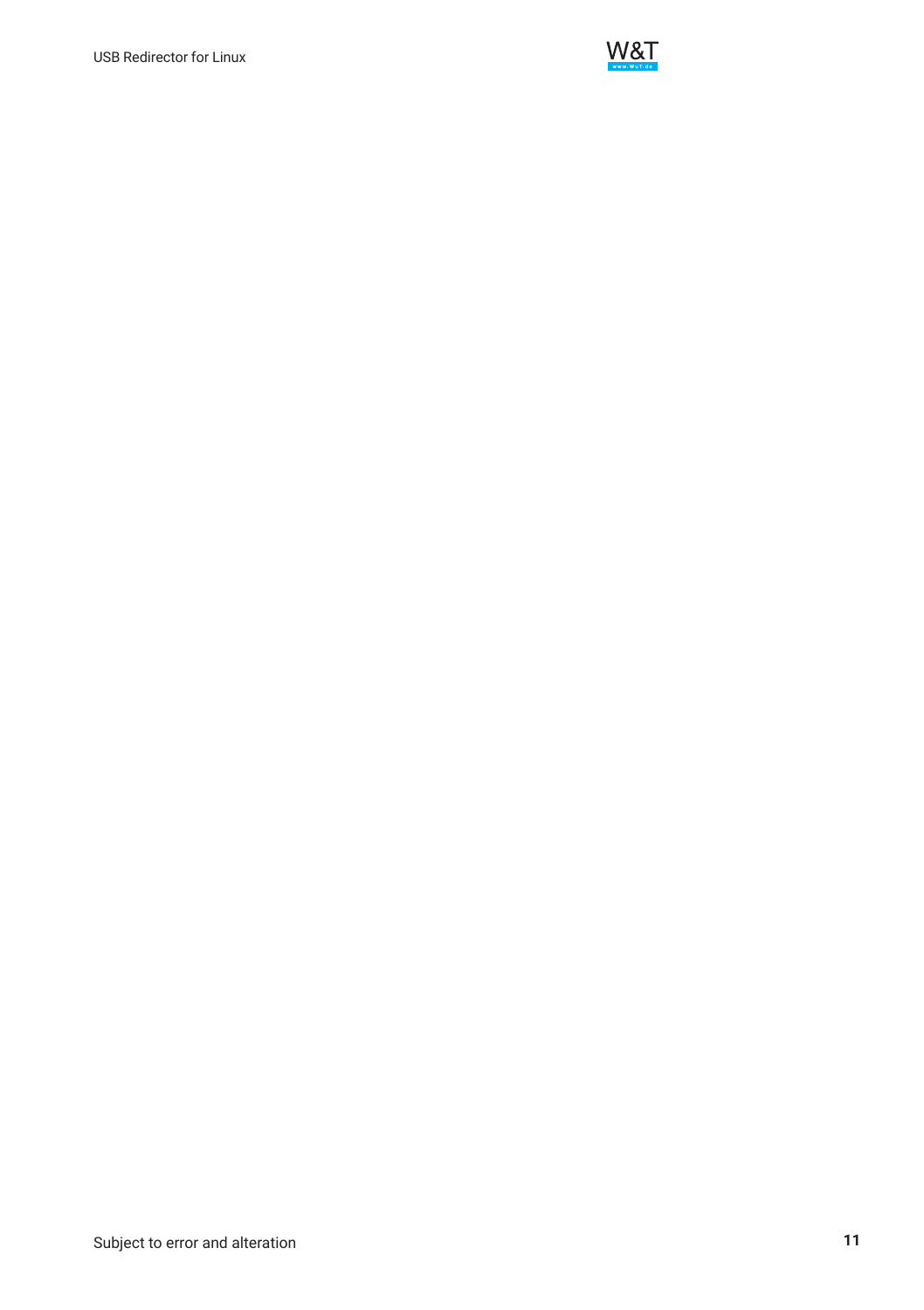USB Redirector for Linux